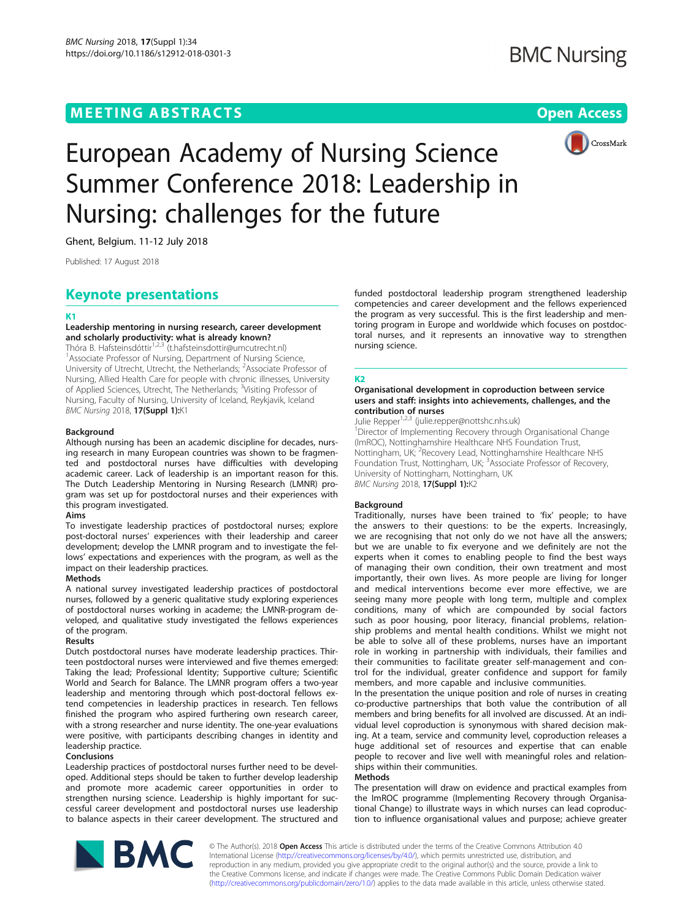## MEETING ABSTRACTS ASSOCIATES AND THE SERVICE SERVICES AND THE SERVICES OPEN ACCESS



# European Academy of Nursing Science Summer Conference 2018: Leadership in Nursing: challenges for the future

Ghent, Belgium. 11-12 July 2018

Published: 17 August 2018

## Keynote presentations

#### K1

#### Leadership mentoring in nursing research, career development and scholarly productivity: what is already known?

Thóra B. Hafsteinsdóttir<sup>1,2,3</sup> (t.hafsteinsdottir@umcutrecht.nl) <sup>1</sup> Associate Professor of Nursing, Department of Nursing Science, University of Utrecht, Utrecht, the Netherlands; <sup>2</sup>Associate Professor of Nursing, Allied Health Care for people with chronic illnesses, University of Applied Sciences, Utrecht, The Netherlands; <sup>3</sup>Visiting Professor of Nursing, Faculty of Nursing, University of Iceland, Reykjavik, Iceland **BMC Nursing 2018, 17(Suppl 1):**K1

#### Background

Although nursing has been an academic discipline for decades, nursing research in many European countries was shown to be fragmented and postdoctoral nurses have difficulties with developing academic career. Lack of leadership is an important reason for this. The Dutch Leadership Mentoring in Nursing Research (LMNR) program was set up for postdoctoral nurses and their experiences with this program investigated.

#### Aims

To investigate leadership practices of postdoctoral nurses; explore post-doctoral nurses' experiences with their leadership and career development; develop the LMNR program and to investigate the fellows' expectations and experiences with the program, as well as the impact on their leadership practices.

#### Methods

A national survey investigated leadership practices of postdoctoral nurses, followed by a generic qualitative study exploring experiences of postdoctoral nurses working in academe; the LMNR-program developed, and qualitative study investigated the fellows experiences of the program.

### Results

Dutch postdoctoral nurses have moderate leadership practices. Thirteen postdoctoral nurses were interviewed and five themes emerged: Taking the lead; Professional Identity; Supportive culture; Scientific World and Search for Balance. The LMNR program offers a two-year leadership and mentoring through which post-doctoral fellows extend competencies in leadership practices in research. Ten fellows finished the program who aspired furthering own research career, with a strong researcher and nurse identity. The one-year evaluations were positive, with participants describing changes in identity and leadership practice.

#### Conclusions

Leadership practices of postdoctoral nurses further need to be developed. Additional steps should be taken to further develop leadership and promote more academic career opportunities in order to strengthen nursing science. Leadership is highly important for successful career development and postdoctoral nurses use leadership to balance aspects in their career development. The structured and funded postdoctoral leadership program strengthened leadership competencies and career development and the fellows experienced the program as very successful. This is the first leadership and mentoring program in Europe and worldwide which focuses on postdoctoral nurses, and it represents an innovative way to strengthen nursing science.

#### K2

#### Organisational development in coproduction between service users and staff: insights into achievements, challenges, and the contribution of nurses

Julie Repper<sup>1,2,3</sup> (julie.repper@nottshc.nhs.uk) <sup>1</sup>Director of Implementing Recovery through Organisational Change (ImROC), Nottinghamshire Healthcare NHS Foundation Trust, Nottingham, UK; <sup>2</sup> Recovery Lead, Nottinghamshire Healthcare NHS Foundation Trust, Nottingham, UK; <sup>3</sup>Associate Professor of Recovery, University of Nottingham, Nottingham, UK BMC Nursing 2018, 17(Suppl 1):K2

#### **Background**

Traditionally, nurses have been trained to 'fix' people; to have the answers to their questions: to be the experts. Increasingly, we are recognising that not only do we not have all the answers; but we are unable to fix everyone and we definitely are not the experts when it comes to enabling people to find the best ways of managing their own condition, their own treatment and most importantly, their own lives. As more people are living for longer and medical interventions become ever more effective, we are seeing many more people with long term, multiple and complex conditions, many of which are compounded by social factors such as poor housing, poor literacy, financial problems, relationship problems and mental health conditions. Whilst we might not be able to solve all of these problems, nurses have an important role in working in partnership with individuals, their families and their communities to facilitate greater self-management and control for the individual, greater confidence and support for family members, and more capable and inclusive communities.

In the presentation the unique position and role of nurses in creating co-productive partnerships that both value the contribution of all members and bring benefits for all involved are discussed. At an individual level coproduction is synonymous with shared decision making. At a team, service and community level, coproduction releases a huge additional set of resources and expertise that can enable people to recover and live well with meaningful roles and relationships within their communities.

#### Methods

The presentation will draw on evidence and practical examples from the ImROC programme (Implementing Recovery through Organisational Change) to illustrate ways in which nurses can lead coproduction to influence organisational values and purpose; achieve greater



© The Author(s). 2018 Open Access This article is distributed under the terms of the Creative Commons Attribution 4.0 International License ([http://creativecommons.org/licenses/by/4.0/\)](http://creativecommons.org/licenses/by/4.0/), which permits unrestricted use, distribution, and reproduction in any medium, provided you give appropriate credit to the original author(s) and the source, provide a link to the Creative Commons license, and indicate if changes were made. The Creative Commons Public Domain Dedication waiver ([http://creativecommons.org/publicdomain/zero/1.0/\)](http://creativecommons.org/publicdomain/zero/1.0/) applies to the data made available in this article, unless otherwise stated.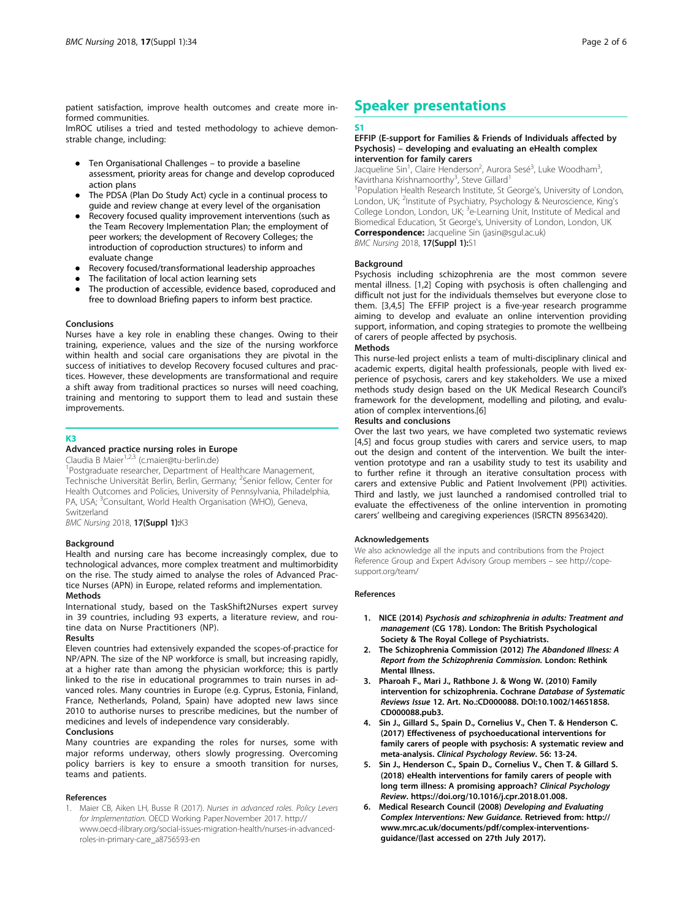patient satisfaction, improve health outcomes and create more informed communities.

ImROC utilises a tried and tested methodology to achieve demonstrable change, including:

- Ten Organisational Challenges to provide a baseline assessment, priority areas for change and develop coproduced action plans
- The PDSA (Plan Do Study Act) cycle in a continual process to guide and review change at every level of the organisation
- Recovery focused quality improvement interventions (such as the Team Recovery Implementation Plan; the employment of peer workers; the development of Recovery Colleges; the introduction of coproduction structures) to inform and evaluate change
- Recovery focused/transformational leadership approaches
- The facilitation of local action learning sets
- The production of accessible, evidence based, coproduced and free to download Briefing papers to inform best practice.

#### Conclusions

Nurses have a key role in enabling these changes. Owing to their training, experience, values and the size of the nursing workforce within health and social care organisations they are pivotal in the success of initiatives to develop Recovery focused cultures and practices. However, these developments are transformational and require a shift away from traditional practices so nurses will need coaching, training and mentoring to support them to lead and sustain these improvements.

#### K3

#### Advanced practice nursing roles in Europe

Claudia B Maier<sup>1,2,3</sup> (c.maier@tu-berlin.de)

<sup>1</sup>Postgraduate researcher, Department of Healthcare Management, Technische Universität Berlin, Berlin, Germany; <sup>2</sup>Senior fellow, Center for Health Outcomes and Policies, University of Pennsylvania, Philadelphia, PA, USA; <sup>3</sup>Consultant, World Health Organisation (WHO), Geneva, Switzerland

**BMC Nursing 2018, 17(Suppl 1):K3** 

#### **Background**

Health and nursing care has become increasingly complex, due to technological advances, more complex treatment and multimorbidity on the rise. The study aimed to analyse the roles of Advanced Practice Nurses (APN) in Europe, related reforms and implementation. **Methods** 

International study, based on the TaskShift2Nurses expert survey in 39 countries, including 93 experts, a literature review, and routine data on Nurse Practitioners (NP).

#### Results

Eleven countries had extensively expanded the scopes-of-practice for NP/APN. The size of the NP workforce is small, but increasing rapidly, at a higher rate than among the physician workforce; this is partly linked to the rise in educational programmes to train nurses in advanced roles. Many countries in Europe (e.g. Cyprus, Estonia, Finland, France, Netherlands, Poland, Spain) have adopted new laws since 2010 to authorise nurses to prescribe medicines, but the number of medicines and levels of independence vary considerably.

#### Conclusions

Many countries are expanding the roles for nurses, some with major reforms underway, others slowly progressing. Overcoming policy barriers is key to ensure a smooth transition for nurses, teams and patients.

#### References

1. Maier CB, Aiken LH, Busse R (2017). Nurses in advanced roles. Policy Levers for Implementation. OECD Working Paper.November 2017. http:// www.oecd-ilibrary.org/social-issues-migration-health/nurses-in-advancedroles-in-primary-care\_a8756593-en

## Speaker presentations

#### S1

#### EFFIP (E-support for Families & Friends of Individuals affected by Psychosis) – developing and evaluating an eHealth complex intervention for family carers

Jacqueline Sin<sup>1</sup>, Claire Henderson<sup>2</sup>, Aurora Sesé<sup>3</sup>, Luke Woodham<sup>3</sup> , Kavirthana Krishnamoorthy<sup>3</sup>, Steve Gillard<sup>1</sup>

<sup>1</sup>Population Health Research Institute, St George's, University of London, London, UK; <sup>2</sup>Institute of Psychiatry, Psychology & Neuroscience, King's College London, London, UK; <sup>3</sup>e-Learning Unit, Institute of Medical and Biomedical Education, St George's, University of London, London, UK Correspondence: Jacqueline Sin (jasin@sgul.ac.uk)

BMC Nursing 2018, 17(Suppl 1):S1

#### Background

Psychosis including schizophrenia are the most common severe mental illness. [1,2] Coping with psychosis is often challenging and difficult not just for the individuals themselves but everyone close to them. [3,4,5] The EFFIP project is a five-year research programme aiming to develop and evaluate an online intervention providing support, information, and coping strategies to promote the wellbeing of carers of people affected by psychosis.

#### **Methods**

This nurse-led project enlists a team of multi-disciplinary clinical and academic experts, digital health professionals, people with lived experience of psychosis, carers and key stakeholders. We use a mixed methods study design based on the UK Medical Research Council's framework for the development, modelling and piloting, and evaluation of complex interventions.[6]

#### Results and conclusions

Over the last two years, we have completed two systematic reviews [4,5] and focus group studies with carers and service users, to map out the design and content of the intervention. We built the intervention prototype and ran a usability study to test its usability and to further refine it through an iterative consultation process with carers and extensive Public and Patient Involvement (PPI) activities. Third and lastly, we just launched a randomised controlled trial to evaluate the effectiveness of the online intervention in promoting carers' wellbeing and caregiving experiences (ISRCTN 89563420).

#### Acknowledgements

We also acknowledge all the inputs and contributions from the Project Reference Group and Expert Advisory Group members – see http://copesupport.org/team/

#### References

- 1. NICE (2014) Psychosis and schizophrenia in adults: Treatment and management (CG 178). London: The British Psychological Society & The Royal College of Psychiatrists.
- 2. The Schizophrenia Commission (2012) The Abandoned Illness: A Report from the Schizophrenia Commission. London: Rethink Mental Illness.
- 3. Pharoah F., Mari J., Rathbone J. & Wong W. (2010) Family intervention for schizophrenia. Cochrane Database of Systematic Reviews Issue 12. Art. No.:CD000088. DOI:10.1002/14651858. CD000088.pub3.
- 4. Sin J., Gillard S., Spain D., Cornelius V., Chen T. & Henderson C. (2017) Effectiveness of psychoeducational interventions for family carers of people with psychosis: A systematic review and meta-analysis. Clinical Psychology Review. 56: 13-24.
- 5. Sin J., Henderson C., Spain D., Cornelius V., Chen T. & Gillard S. (2018) eHealth interventions for family carers of people with long term illness: A promising approach? Clinical Psychology Review. https://doi.org/10.1016/j.cpr.2018.01.008.
- 6. Medical Research Council (2008) Developing and Evaluating Complex Interventions: New Guidance. Retrieved from: http:// www.mrc.ac.uk/documents/pdf/complex-interventionsguidance/(last accessed on 27th July 2017).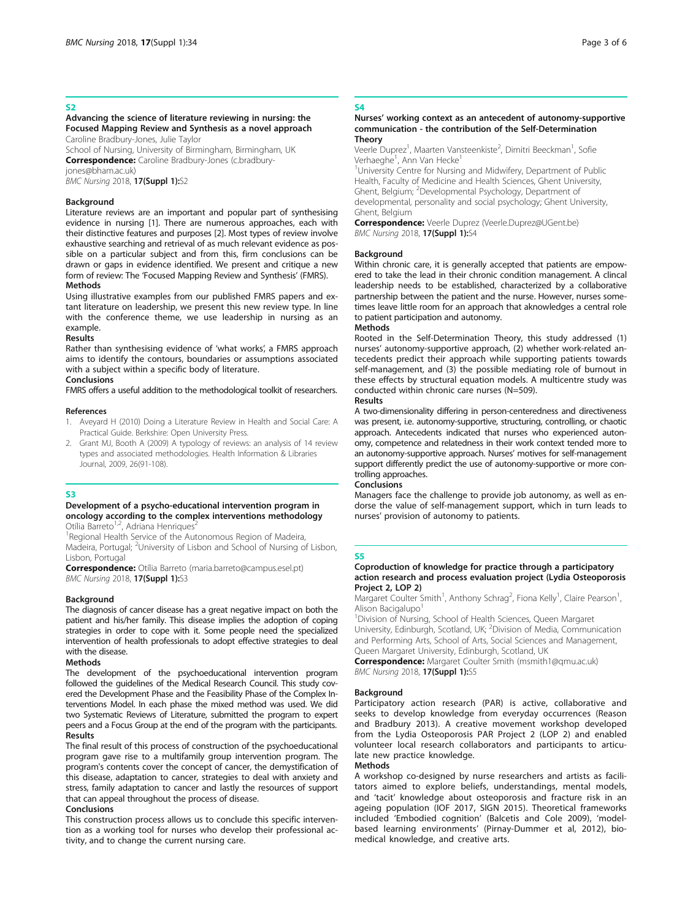#### S<sub>2</sub>

#### Advancing the science of literature reviewing in nursing: the Focused Mapping Review and Synthesis as a novel approach Caroline Bradbury-Jones, Julie Taylor

School of Nursing, University of Birmingham, Birmingham, UK Correspondence: Caroline Bradbury-Jones (c.bradbury-

jones@bham.ac.uk)

## **BMC Nursing 2018, 17(Suppl 1):**S2

#### Background

Literature reviews are an important and popular part of synthesising evidence in nursing [1]. There are numerous approaches, each with their distinctive features and purposes [2]. Most types of review involve exhaustive searching and retrieval of as much relevant evidence as possible on a particular subject and from this, firm conclusions can be drawn or gaps in evidence identified. We present and critique a new form of review: The 'Focused Mapping Review and Synthesis' (FMRS). Methods

Using illustrative examples from our published FMRS papers and extant literature on leadership, we present this new review type. In line with the conference theme, we use leadership in nursing as an example.

#### Results

Rather than synthesising evidence of 'what works', a FMRS approach aims to identify the contours, boundaries or assumptions associated with a subject within a specific body of literature.

#### Conclusions FMRS offers a useful addition to the methodological toolkit of researchers.

#### References

- 1. Aveyard H (2010) Doing a Literature Review in Health and Social Care: A Practical Guide. Berkshire: Open University Press.
- 2. Grant MJ, Booth A (2009) A typology of reviews: an analysis of 14 review types and associated methodologies. Health Information & Libraries Journal, 2009, 26(91-108).

#### S3

#### Development of a psycho-educational intervention program in oncology according to the complex interventions methodology Otília Barreto $1/2$ , Adriana Henriques<sup>2</sup>

<sup>1</sup> Regional Health Service of the Autonomous Region of Madeira, Madeira, Portugal; <sup>2</sup>University of Lisbon and School of Nursing of Lisbon, Lisbon, Portugal

Correspondence: Otília Barreto (maria.barreto@campus.esel.pt) **BMC Nursing 2018, 17(Suppl 1):**S3

#### **Background**

The diagnosis of cancer disease has a great negative impact on both the patient and his/her family. This disease implies the adoption of coping strategies in order to cope with it. Some people need the specialized intervention of health professionals to adopt effective strategies to deal with the disease.

#### Methods

The development of the psychoeducational intervention program followed the guidelines of the Medical Research Council. This study covered the Development Phase and the Feasibility Phase of the Complex Interventions Model. In each phase the mixed method was used. We did two Systematic Reviews of Literature, submitted the program to expert peers and a Focus Group at the end of the program with the participants. Results

The final result of this process of construction of the psychoeducational program gave rise to a multifamily group intervention program. The program's contents cover the concept of cancer, the demystification of this disease, adaptation to cancer, strategies to deal with anxiety and stress, family adaptation to cancer and lastly the resources of support that can appeal throughout the process of disease.

#### Conclusions

This construction process allows us to conclude this specific intervention as a working tool for nurses who develop their professional activity, and to change the current nursing care.

#### S4

#### Nurses' working context as an antecedent of autonomy-supportive communication - the contribution of the Self-Determination **Theory**

Veerle Duprez<sup>1</sup>, Maarten Vansteenkiste<sup>2</sup>, Dimitri Beeckman<sup>1</sup>, Sofie Verhaeghe<sup>1</sup>, Ann Van Hecke<sup>1</sup>

<sup>1</sup>University Centre for Nursing and Midwifery, Department of Public Health, Faculty of Medicine and Health Sciences, Ghent University, Ghent, Belgium; <sup>2</sup> Developmental Psychology, Department of developmental, personality and social psychology; Ghent University, Ghent, Belgium

Correspondence: Veerle Duprez (Veerle.Duprez@UGent.be) BMC Nursing 2018, 17(Suppl 1):S4

#### Background

Within chronic care, it is generally accepted that patients are empowered to take the lead in their chronic condition management. A clincal leadership needs to be established, characterized by a collaborative partnership between the patient and the nurse. However, nurses sometimes leave little room for an approach that aknowledges a central role to patient participation and autonomy.

#### Methods

Rooted in the Self-Determination Theory, this study addressed (1) nurses' autonomy-supportive approach, (2) whether work-related antecedents predict their approach while supporting patients towards self-management, and (3) the possible mediating role of burnout in these effects by structural equation models. A multicentre study was conducted within chronic care nurses (N=509).

#### Results

A two-dimensionality differing in person-centeredness and directiveness was present, i.e. autonomy-supportive, structuring, controlling, or chaotic approach. Antecedents indicated that nurses who experienced autonomy, competence and relatedness in their work context tended more to an autonomy-supportive approach. Nurses' motives for self-management support differently predict the use of autonomy-supportive or more controlling approaches.

#### Conclusions

Managers face the challenge to provide job autonomy, as well as endorse the value of self-management support, which in turn leads to nurses' provision of autonomy to patients.

#### S<sub>5</sub>

#### Coproduction of knowledge for practice through a participatory action research and process evaluation project (Lydia Osteoporosis Project 2, LOP 2)

Margaret Coulter Smith<sup>1</sup>, Anthony Schrag<sup>2</sup>, Fiona Kelly<sup>1</sup>, Claire Pearson<sup>1</sup> , Alison Bacigalupo<sup>1</sup>

<sup>1</sup> Division of Nursing, School of Health Sciences, Queen Margaret University, Edinburgh, Scotland, UK; <sup>2</sup>Division of Media, Communication and Performing Arts, School of Arts, Social Sciences and Management, Queen Margaret University, Edinburgh, Scotland, UK

Correspondence: Margaret Coulter Smith (msmith1@qmu.ac.uk) **BMC Nursing 2018, 17(Suppl 1):**S5

#### Background

Participatory action research (PAR) is active, collaborative and seeks to develop knowledge from everyday occurrences (Reason and Bradbury 2013). A creative movement workshop developed from the Lydia Osteoporosis PAR Project 2 (LOP 2) and enabled volunteer local research collaborators and participants to articulate new practice knowledge.

#### Methods

A workshop co-designed by nurse researchers and artists as facilitators aimed to explore beliefs, understandings, mental models, and 'tacit' knowledge about osteoporosis and fracture risk in an ageing population (IOF 2017, SIGN 2015). Theoretical frameworks included 'Embodied cognition' (Balcetis and Cole 2009), 'modelbased learning environments' (Pirnay-Dummer et al, 2012), biomedical knowledge, and creative arts.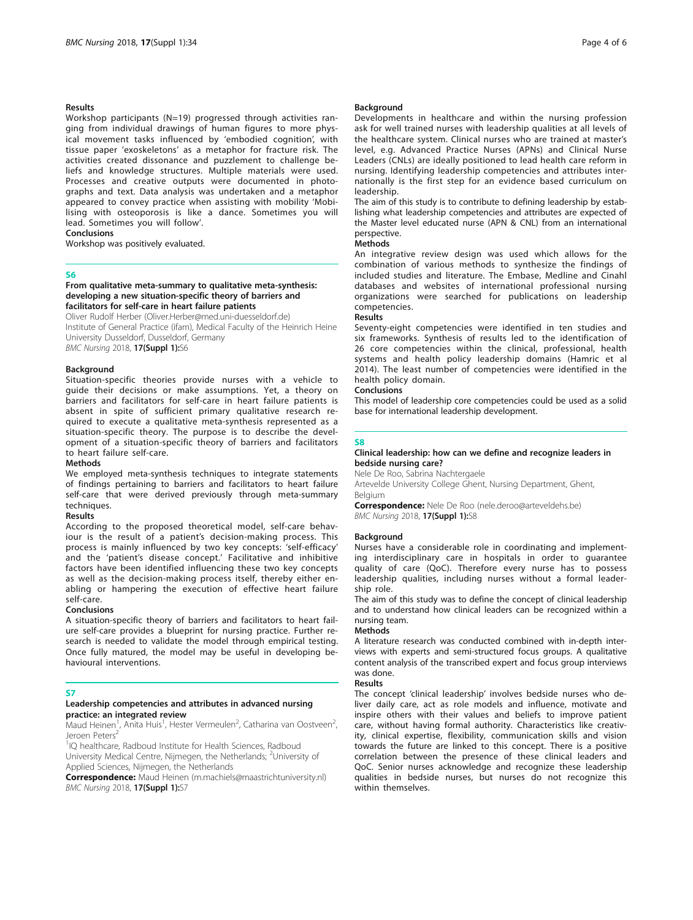#### Results

Workshop participants (N=19) progressed through activities ranging from individual drawings of human figures to more physical movement tasks influenced by 'embodied cognition', with tissue paper 'exoskeletons' as a metaphor for fracture risk. The activities created dissonance and puzzlement to challenge beliefs and knowledge structures. Multiple materials were used. Processes and creative outputs were documented in photographs and text. Data analysis was undertaken and a metaphor appeared to convey practice when assisting with mobility 'Mobilising with osteoporosis is like a dance. Sometimes you will lead. Sometimes you will follow'.

#### Conclusions

Workshop was positively evaluated.

#### S6

#### From qualitative meta-summary to qualitative meta-synthesis: developing a new situation-specific theory of barriers and facilitators for self-care in heart failure patients

Oliver Rudolf Herber (Oliver.Herber@med.uni-duesseldorf.de) Institute of General Practice (ifam), Medical Faculty of the Heinrich Heine University Dusseldorf, Dusseldorf, Germany **BMC Nursing 2018, 17(Suppl 1):**S6

#### Background

Situation-specific theories provide nurses with a vehicle to guide their decisions or make assumptions. Yet, a theory on barriers and facilitators for self-care in heart failure patients is absent in spite of sufficient primary qualitative research required to execute a qualitative meta-synthesis represented as a situation-specific theory. The purpose is to describe the development of a situation-specific theory of barriers and facilitators to heart failure self-care.

#### Methods

We employed meta-synthesis techniques to integrate statements of findings pertaining to barriers and facilitators to heart failure self-care that were derived previously through meta-summary techniques.

#### Results

According to the proposed theoretical model, self-care behaviour is the result of a patient's decision-making process. This process is mainly influenced by two key concepts: 'self-efficacy' and the 'patient's disease concept.' Facilitative and inhibitive factors have been identified influencing these two key concepts as well as the decision-making process itself, thereby either enabling or hampering the execution of effective heart failure self-care.

#### Conclusions

A situation-specific theory of barriers and facilitators to heart failure self-care provides a blueprint for nursing practice. Further research is needed to validate the model through empirical testing. Once fully matured, the model may be useful in developing behavioural interventions.

#### S7

#### Leadership competencies and attributes in advanced nursing practice: an integrated review

Maud Heinen<sup>1</sup>, Anita Huis<sup>1</sup>, Hester Vermeulen<sup>2</sup>, Catharina van Oostveen<sup>2</sup> , Jeroen Peters<sup>4</sup>

<sup>1</sup>IQ healthcare, Radboud Institute for Health Sciences, Radboud University Medical Centre, Nijmegen, the Netherlands; <sup>2</sup>University of Applied Sciences, Nijmegen, the Netherlands

Correspondence: Maud Heinen (m.machiels@maastrichtuniversity.nl) **BMC Nursing 2018, 17(Suppl 1):**S7

#### Background

Developments in healthcare and within the nursing profession ask for well trained nurses with leadership qualities at all levels of the healthcare system. Clinical nurses who are trained at master's level, e.g. Advanced Practice Nurses (APNs) and Clinical Nurse Leaders (CNLs) are ideally positioned to lead health care reform in nursing. Identifying leadership competencies and attributes internationally is the first step for an evidence based curriculum on leadership.

The aim of this study is to contribute to defining leadership by establishing what leadership competencies and attributes are expected of the Master level educated nurse (APN & CNL) from an international perspective.

#### Methods

An integrative review design was used which allows for the combination of various methods to synthesize the findings of included studies and literature. The Embase, Medline and Cinahl databases and websites of international professional nursing organizations were searched for publications on leadership competencies.

#### Results

Seventy-eight competencies were identified in ten studies and six frameworks. Synthesis of results led to the identification of 26 core competencies within the clinical, professional, health systems and health policy leadership domains (Hamric et al 2014). The least number of competencies were identified in the health policy domain.

#### Conclusions

This model of leadership core competencies could be used as a solid base for international leadership development.

#### **CR**

#### Clinical leadership: how can we define and recognize leaders in bedside nursing care?

Nele De Roo, Sabrina Nachtergaele

Artevelde University College Ghent, Nursing Department, Ghent, Belgium

Correspondence: Nele De Roo (nele.deroo@arteveldehs.be) BMC Nursing 2018, 17(Suppl 1):S8

#### Background

Nurses have a considerable role in coordinating and implementing interdisciplinary care in hospitals in order to guarantee quality of care (QoC). Therefore every nurse has to possess leadership qualities, including nurses without a formal leadership role.

The aim of this study was to define the concept of clinical leadership and to understand how clinical leaders can be recognized within a nursing team.

#### Methods

A literature research was conducted combined with in-depth interviews with experts and semi-structured focus groups. A qualitative content analysis of the transcribed expert and focus group interviews was done.

#### Results

The concept 'clinical leadership' involves bedside nurses who deliver daily care, act as role models and influence, motivate and inspire others with their values and beliefs to improve patient care, without having formal authority. Characteristics like creativity, clinical expertise, flexibility, communication skills and vision towards the future are linked to this concept. There is a positive correlation between the presence of these clinical leaders and QoC. Senior nurses acknowledge and recognize these leadership qualities in bedside nurses, but nurses do not recognize this within themselves.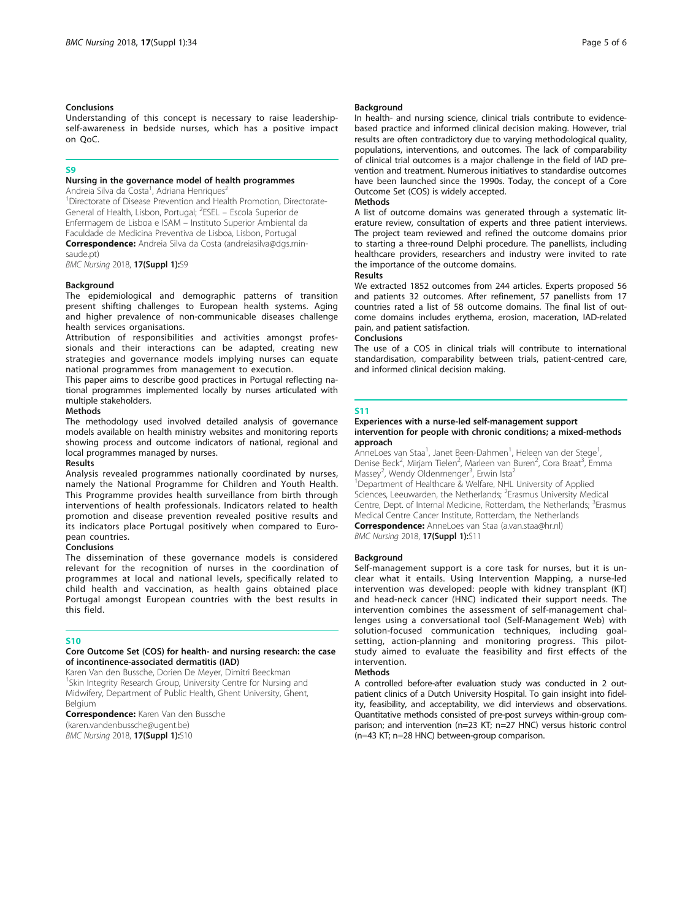#### Conclusions

Understanding of this concept is necessary to raise leadershipself-awareness in bedside nurses, which has a positive impact on QoC.

#### S

#### Nursing in the governance model of health programmes

Andreia Silva da Costa<sup>1</sup>, Adriana Henriques<sup>2</sup>

<sup>1</sup>Directorate of Disease Prevention and Health Promotion, Directorate-General of Health, Lisbon, Portugal; <sup>2</sup>ESEL - Escola Superior de Enfermagem de Lisboa e ISAM – Instituto Superior Ambiental da

Faculdade de Medicina Preventiva de Lisboa, Lisbon, Portugal Correspondence: Andreia Silva da Costa (andreiasilva@dgs.min-

saude.pt)

**BMC Nursing 2018, 17(Suppl 1):**S9

#### Background

The epidemiological and demographic patterns of transition present shifting challenges to European health systems. Aging and higher prevalence of non-communicable diseases challenge health services organisations.

Attribution of responsibilities and activities amongst professionals and their interactions can be adapted, creating new strategies and governance models implying nurses can equate national programmes from management to execution.

This paper aims to describe good practices in Portugal reflecting national programmes implemented locally by nurses articulated with multiple stakeholders.

#### **Methods**

The methodology used involved detailed analysis of governance models available on health ministry websites and monitoring reports showing process and outcome indicators of national, regional and local programmes managed by nurses.

#### Results

Analysis revealed programmes nationally coordinated by nurses, namely the National Programme for Children and Youth Health. This Programme provides health surveillance from birth through interventions of health professionals. Indicators related to health promotion and disease prevention revealed positive results and its indicators place Portugal positively when compared to European countries.

#### Conclusions

The dissemination of these governance models is considered relevant for the recognition of nurses in the coordination of programmes at local and national levels, specifically related to child health and vaccination, as health gains obtained place Portugal amongst European countries with the best results in this field.

#### S10

#### Core Outcome Set (COS) for health- and nursing research: the case of incontinence-associated dermatitis (IAD)

Karen Van den Bussche, Dorien De Meyer, Dimitri Beeckman <sup>1</sup>Skin Integrity Research Group, University Centre for Nursing and Midwifery, Department of Public Health, Ghent University, Ghent, Belgium

Correspondence: Karen Van den Bussche (karen.vandenbussche@ugent.be) **BMC Nursing 2018, 17(Suppl 1):**S10

#### Background

In health- and nursing science, clinical trials contribute to evidencebased practice and informed clinical decision making. However, trial results are often contradictory due to varying methodological quality, populations, interventions, and outcomes. The lack of comparability of clinical trial outcomes is a major challenge in the field of IAD prevention and treatment. Numerous initiatives to standardise outcomes have been launched since the 1990s. Today, the concept of a Core Outcome Set (COS) is widely accepted.

#### Methods

A list of outcome domains was generated through a systematic literature review, consultation of experts and three patient interviews. The project team reviewed and refined the outcome domains prior to starting a three-round Delphi procedure. The panellists, including healthcare providers, researchers and industry were invited to rate the importance of the outcome domains.

#### Results

We extracted 1852 outcomes from 244 articles. Experts proposed 56 and patients 32 outcomes. After refinement, 57 panellists from 17 countries rated a list of 58 outcome domains. The final list of outcome domains includes erythema, erosion, maceration, IAD-related pain, and patient satisfaction.

#### Conclusions

The use of a COS in clinical trials will contribute to international standardisation, comparability between trials, patient-centred care, and informed clinical decision making.

#### S11

#### Experiences with a nurse-led self-management support intervention for people with chronic conditions; a mixed-methods approach

AnneLoes van Staa<sup>1</sup>, Janet Been-Dahmen<sup>1</sup>, Heleen van der Stege<sup>1</sup> , Denise Beck<sup>2</sup>, Mirjam Tielen<sup>2</sup>, Marleen van Buren<sup>2</sup>, Cora Braat<sup>3</sup>, Emma Massey<sup>2</sup>, Wendy Oldenmenger<sup>3</sup>, Erwin Ista<sup>2</sup>

<sup>1</sup>Department of Healthcare & Welfare, NHL University of Applied Sciences, Leeuwarden, the Netherlands; <sup>2</sup>Erasmus University Medical Centre, Dept. of Internal Medicine, Rotterdam, the Netherlands; <sup>3</sup>Erasmus Medical Centre Cancer Institute, Rotterdam, the Netherlands

Correspondence: AnneLoes van Staa (a.van.staa@hr.nl) **BMC Nursing 2018, 17(Suppl 1):**S11

#### **Background**

Self-management support is a core task for nurses, but it is unclear what it entails. Using Intervention Mapping, a nurse-led intervention was developed: people with kidney transplant (KT) and head-neck cancer (HNC) indicated their support needs. The intervention combines the assessment of self-management challenges using a conversational tool (Self-Management Web) with solution-focused communication techniques, including goalsetting, action-planning and monitoring progress. This pilotstudy aimed to evaluate the feasibility and first effects of the intervention.

#### Methods

A controlled before-after evaluation study was conducted in 2 outpatient clinics of a Dutch University Hospital. To gain insight into fidelity, feasibility, and acceptability, we did interviews and observations. Quantitative methods consisted of pre-post surveys within-group comparison; and intervention (n=23 KT; n=27 HNC) versus historic control (n=43 KT; n=28 HNC) between-group comparison.